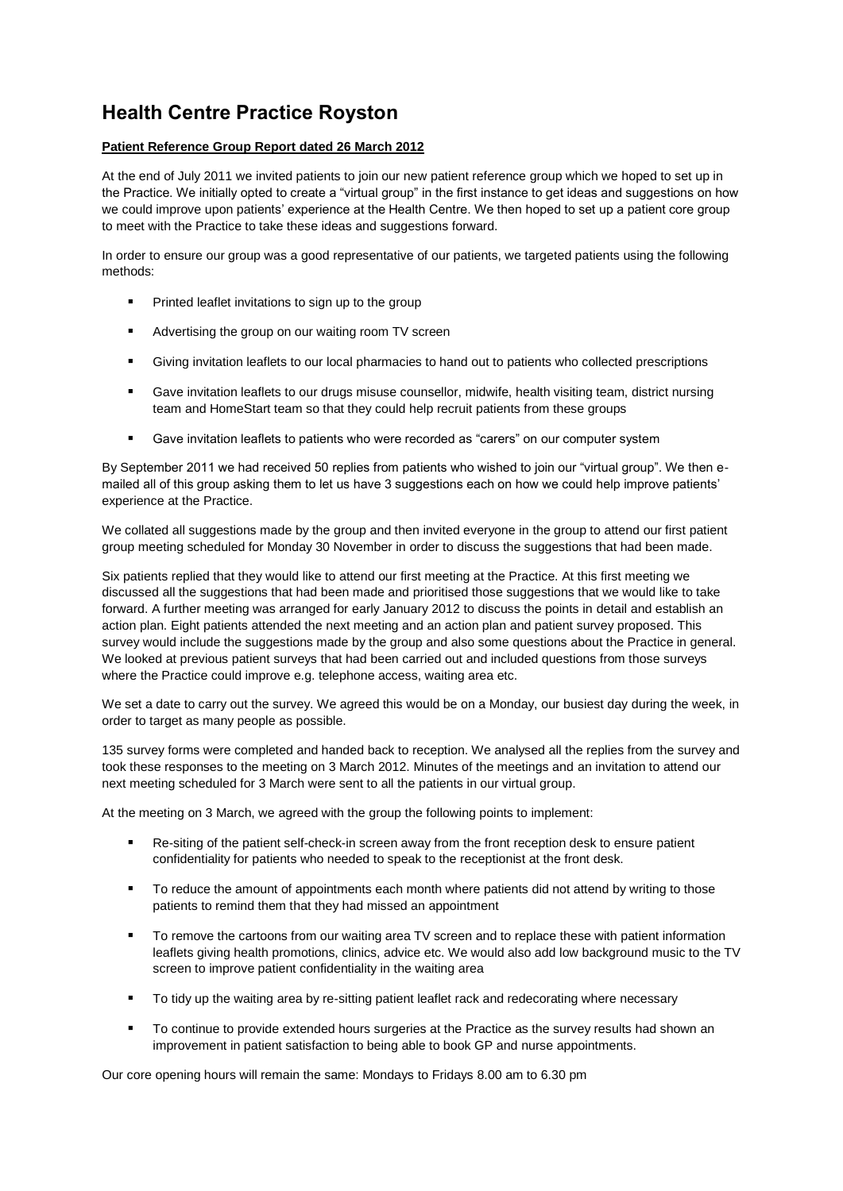## **Health Centre Practice Royston**

## **Patient Reference Group Report dated 26 March 2012**

At the end of July 2011 we invited patients to join our new patient reference group which we hoped to set up in the Practice. We initially opted to create a "virtual group" in the first instance to get ideas and suggestions on how we could improve upon patients' experience at the Health Centre. We then hoped to set up a patient core group to meet with the Practice to take these ideas and suggestions forward.

In order to ensure our group was a good representative of our patients, we targeted patients using the following methods:

- Printed leaflet invitations to sign up to the group
- Advertising the group on our waiting room TV screen
- Giving invitation leaflets to our local pharmacies to hand out to patients who collected prescriptions
- Gave invitation leaflets to our drugs misuse counsellor, midwife, health visiting team, district nursing team and HomeStart team so that they could help recruit patients from these groups
- Gave invitation leaflets to patients who were recorded as "carers" on our computer system

By September 2011 we had received 50 replies from patients who wished to join our "virtual group". We then emailed all of this group asking them to let us have 3 suggestions each on how we could help improve patients' experience at the Practice.

We collated all suggestions made by the group and then invited everyone in the group to attend our first patient group meeting scheduled for Monday 30 November in order to discuss the suggestions that had been made.

Six patients replied that they would like to attend our first meeting at the Practice. At this first meeting we discussed all the suggestions that had been made and prioritised those suggestions that we would like to take forward. A further meeting was arranged for early January 2012 to discuss the points in detail and establish an action plan. Eight patients attended the next meeting and an action plan and patient survey proposed. This survey would include the suggestions made by the group and also some questions about the Practice in general. We looked at previous patient surveys that had been carried out and included questions from those surveys where the Practice could improve e.g. telephone access, waiting area etc.

We set a date to carry out the survey. We agreed this would be on a Monday, our busiest day during the week, in order to target as many people as possible.

135 survey forms were completed and handed back to reception. We analysed all the replies from the survey and took these responses to the meeting on 3 March 2012. Minutes of the meetings and an invitation to attend our next meeting scheduled for 3 March were sent to all the patients in our virtual group.

At the meeting on 3 March, we agreed with the group the following points to implement:

- Re-siting of the patient self-check-in screen away from the front reception desk to ensure patient confidentiality for patients who needed to speak to the receptionist at the front desk.
- To reduce the amount of appointments each month where patients did not attend by writing to those patients to remind them that they had missed an appointment
- " To remove the cartoons from our waiting area TV screen and to replace these with patient information leaflets giving health promotions, clinics, advice etc. We would also add low background music to the TV screen to improve patient confidentiality in the waiting area
- To tidy up the waiting area by re-sitting patient leaflet rack and redecorating where necessary
- To continue to provide extended hours surgeries at the Practice as the survey results had shown an improvement in patient satisfaction to being able to book GP and nurse appointments.

Our core opening hours will remain the same: Mondays to Fridays 8.00 am to 6.30 pm